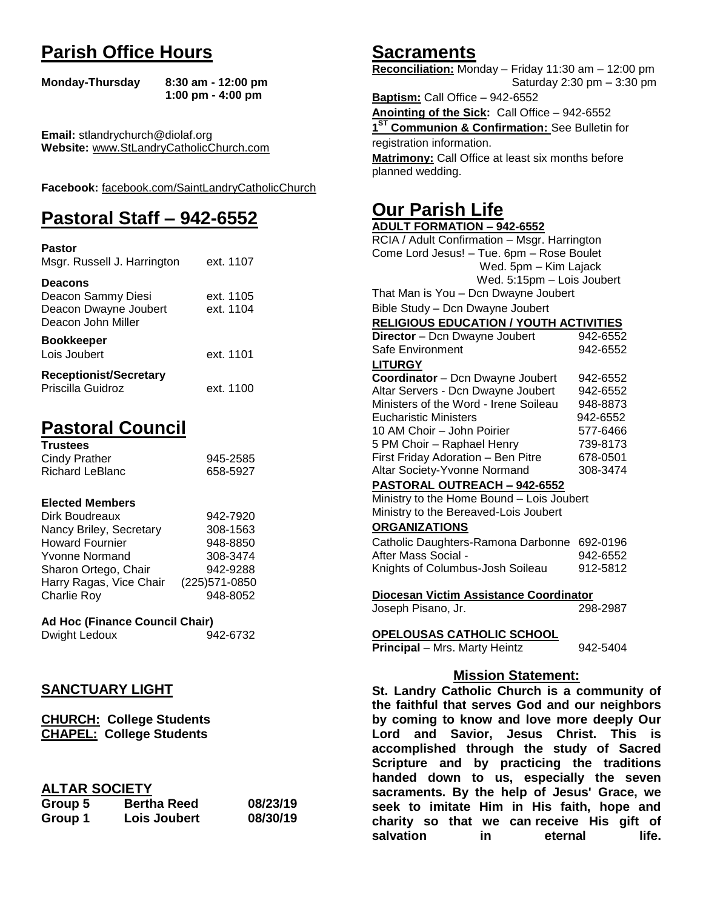# **Parish Office Hours**

```
Monday-Thursday 8:30 am - 12:00 pm
       1:00 pm - 4:00 pm
```
**Email:** stlandrychurch@diolaf.org **Website:** [www.StLandryCatholicChurch.com](http://www.stlandrycatholicchurch.com/)

**Facebook:** [facebook.com/SaintLandryCatholicChurch](http://facebook.com/SaintLandryCatholicChurch)

# **Pastoral Staff – 942-6552**

| <b>Pastor</b><br>Msgr. Russell J. Harrington                                        | ext. 1107              |
|-------------------------------------------------------------------------------------|------------------------|
| <b>Deacons</b><br>Deacon Sammy Diesi<br>Deacon Dwayne Joubert<br>Deacon John Miller | ext. 1105<br>ext. 1104 |
| <b>Bookkeeper</b><br>Lois Joubert                                                   | ext. 1101              |
| <b>Receptionist/Secretary</b><br>Priscilla Guidroz                                  | ext. 1100              |

# **Pastoral Council**

| <b>Trustees</b> |          |
|-----------------|----------|
| Cindy Prather   | 945-2585 |
| Richard LeBlanc | 658-5927 |

#### **Elected Members**

| Dirk Boudreaux          | 942-7920       |
|-------------------------|----------------|
| Nancy Briley, Secretary | 308-1563       |
| <b>Howard Fournier</b>  | 948-8850       |
| <b>Yvonne Normand</b>   | 308-3474       |
| Sharon Ortego, Chair    | 942-9288       |
| Harry Ragas, Vice Chair | (225) 571-0850 |
| <b>Charlie Roy</b>      | 948-8052       |

# **Ad Hoc (Finance Council Chair)**

Dwight Ledoux 942-6732

# **SANCTUARY LIGHT**

**CHURCH: College Students CHAPEL: College Students**

### **ALTAR SOCIETY**

| Group 5 | <b>Bertha Reed</b>  | 08/23/19 |
|---------|---------------------|----------|
| Group 1 | <b>Lois Joubert</b> | 08/30/19 |

# **Sacraments**

**Reconciliation:** Monday – Friday 11:30 am – 12:00 pm Saturday 2:30 pm – 3:30 pm

**Baptism:** Call Office – 942-6552 **Anointing of the Sick:** Call Office – 942-6552 **1 ST Communion & Confirmation:** See Bulletin for registration information. **Matrimony:** Call Office at least six months before planned wedding.

# **Our Parish Life**

| <b>ADULT FORMATION - 942-6552</b>              |          |  |
|------------------------------------------------|----------|--|
| RCIA / Adult Confirmation - Msgr. Harrington   |          |  |
| Come Lord Jesus! - Tue. 6pm - Rose Boulet      |          |  |
| Wed. 5pm - Kim Lajack                          |          |  |
| Wed. 5:15pm - Lois Joubert                     |          |  |
| That Man is You - Dcn Dwayne Joubert           |          |  |
| Bible Study - Dcn Dwayne Joubert               |          |  |
| <b>RELIGIOUS EDUCATION / YOUTH ACTIVITIES</b>  |          |  |
| Director - Dcn Dwayne Joubert                  | 942-6552 |  |
| Safe Environment                               | 942-6552 |  |
| <b>LITURGY</b>                                 |          |  |
| Coordinator - Dcn Dwayne Joubert               | 942-6552 |  |
| Altar Servers - Dcn Dwayne Joubert             | 942-6552 |  |
| Ministers of the Word - Irene Soileau          | 948-8873 |  |
| <b>Eucharistic Ministers</b>                   | 942-6552 |  |
| 10 AM Choir - John Poirier                     | 577-6466 |  |
| 5 PM Choir - Raphael Henry                     | 739-8173 |  |
| First Friday Adoration - Ben Pitre             | 678-0501 |  |
| Altar Society-Yvonne Normand                   | 308-3474 |  |
| PASTORAL OUTREACH - 942-6552                   |          |  |
| Ministry to the Home Bound - Lois Joubert      |          |  |
| Ministry to the Bereaved-Lois Joubert          |          |  |
| <b>ORGANIZATIONS</b>                           |          |  |
| Catholic Daughters-Ramona Darbonne             | 692-0196 |  |
| After Mass Social -                            | 942-6552 |  |
| Knights of Columbus-Josh Soileau               | 912-5812 |  |
|                                                |          |  |
| Diocesan Victim Assistance Coordinator         |          |  |
| Joseph Pisano, Jr.                             | 298-2987 |  |
|                                                |          |  |
| <b>OPELOUSAS CATHOLIC SCHOOL</b>               | 942-5404 |  |
| Principal - Mrs. Marty Heintz                  |          |  |
| <b>Mission Statement:</b>                      |          |  |
| St. Landry Catholic Church is a community of   |          |  |
| the faithful that serves God and our neighbors |          |  |
| by coming to know and love more deeply Our     |          |  |
|                                                |          |  |
| and Savior, Jesus Christ. This<br>Lord         | is       |  |
| accomplished through the study of Sacred       |          |  |

**Lord and Savior, Jesus Christ. This is accomplished through the study of Sacred Scripture and by practicing the traditions handed down to us, especially the seven sacraments. By the help of Jesus' Grace, we seek to imitate Him in His faith, hope and charity so that we can receive His gift of salvation in** eternal life.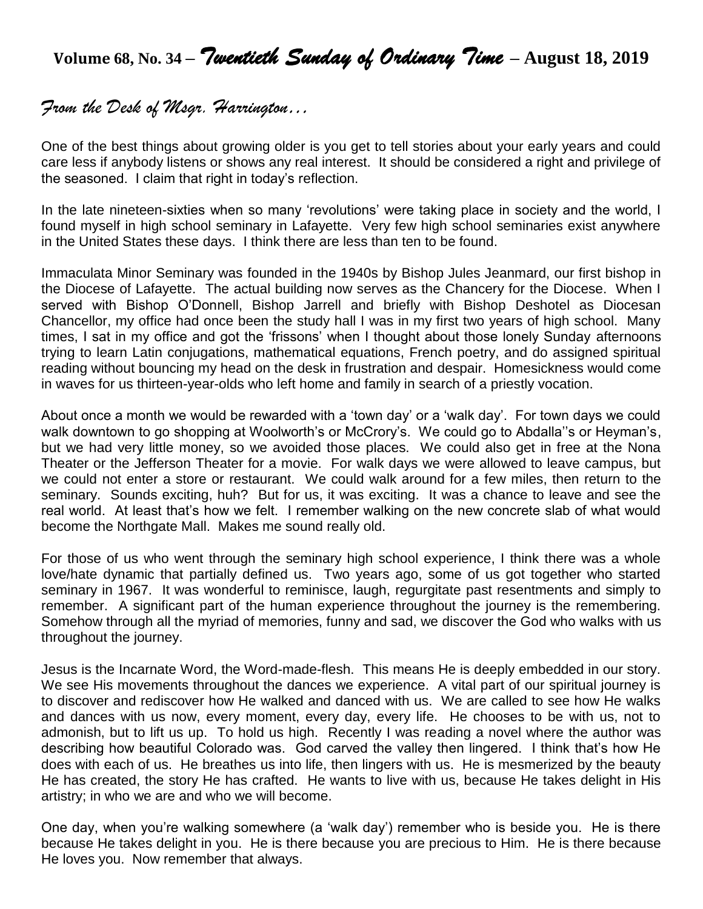# **Volume 68, No. 34 –** *Twentieth Sunday of Ordinary Time* **– August 18, 2019**

# *From the Desk of Msgr. Harrington…*

One of the best things about growing older is you get to tell stories about your early years and could care less if anybody listens or shows any real interest. It should be considered a right and privilege of the seasoned. I claim that right in today's reflection.

In the late nineteen-sixties when so many 'revolutions' were taking place in society and the world, I found myself in high school seminary in Lafayette. Very few high school seminaries exist anywhere in the United States these days. I think there are less than ten to be found.

Immaculata Minor Seminary was founded in the 1940s by Bishop Jules Jeanmard, our first bishop in the Diocese of Lafayette. The actual building now serves as the Chancery for the Diocese. When I served with Bishop O'Donnell, Bishop Jarrell and briefly with Bishop Deshotel as Diocesan Chancellor, my office had once been the study hall I was in my first two years of high school. Many times, I sat in my office and got the 'frissons' when I thought about those lonely Sunday afternoons trying to learn Latin conjugations, mathematical equations, French poetry, and do assigned spiritual reading without bouncing my head on the desk in frustration and despair. Homesickness would come in waves for us thirteen-year-olds who left home and family in search of a priestly vocation.

About once a month we would be rewarded with a 'town day' or a 'walk day'. For town days we could walk downtown to go shopping at Woolworth's or McCrory's. We could go to Abdalla"s or Heyman's, but we had very little money, so we avoided those places. We could also get in free at the Nona Theater or the Jefferson Theater for a movie. For walk days we were allowed to leave campus, but we could not enter a store or restaurant. We could walk around for a few miles, then return to the seminary. Sounds exciting, huh? But for us, it was exciting. It was a chance to leave and see the real world. At least that's how we felt. I remember walking on the new concrete slab of what would become the Northgate Mall. Makes me sound really old.

For those of us who went through the seminary high school experience, I think there was a whole love/hate dynamic that partially defined us. Two years ago, some of us got together who started seminary in 1967. It was wonderful to reminisce, laugh, regurgitate past resentments and simply to remember. A significant part of the human experience throughout the journey is the remembering. Somehow through all the myriad of memories, funny and sad, we discover the God who walks with us throughout the journey.

Jesus is the Incarnate Word, the Word-made-flesh. This means He is deeply embedded in our story. We see His movements throughout the dances we experience. A vital part of our spiritual journey is to discover and rediscover how He walked and danced with us. We are called to see how He walks and dances with us now, every moment, every day, every life. He chooses to be with us, not to admonish, but to lift us up. To hold us high. Recently I was reading a novel where the author was describing how beautiful Colorado was. God carved the valley then lingered. I think that's how He does with each of us. He breathes us into life, then lingers with us. He is mesmerized by the beauty He has created, the story He has crafted. He wants to live with us, because He takes delight in His artistry; in who we are and who we will become.

One day, when you're walking somewhere (a 'walk day') remember who is beside you. He is there because He takes delight in you. He is there because you are precious to Him. He is there because He loves you. Now remember that always.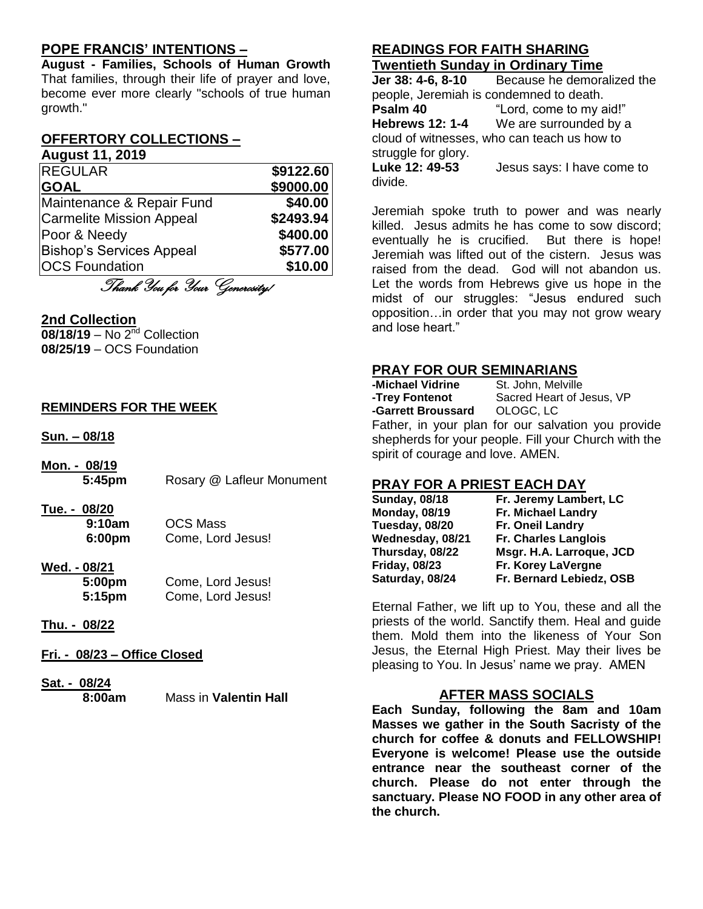## **POPE FRANCIS' INTENTIONS –**

**August - Families, Schools of Human Growth** That families, through their life of prayer and love, become ever more clearly "schools of true human growth."

#### **OFFERTORY COLLECTIONS – August 11, 2019**

| , wywo., ev .v                  |           |
|---------------------------------|-----------|
| <b>REGULAR</b>                  | \$9122.60 |
| <b>GOAL</b>                     | \$9000.00 |
| Maintenance & Repair Fund       | \$40.00   |
| <b>Carmelite Mission Appeal</b> | \$2493.94 |
| Poor & Needy                    | \$400.00  |
| <b>Bishop's Services Appeal</b> | \$577.00  |
| <b>OCS Foundation</b>           | \$10.00   |

Thank You for Your Generosity!

#### **2nd Collection**

**08/18/19** – No 2nd Collection **08/25/19** – OCS Foundation

#### **REMINDERS FOR THE WEEK**

**Sun. – 08/18**

- **Mon. - 08/19 5:45pm** Rosary @ Lafleur Monument
- **Tue. - 08/20 9:10am** OCS Mass **6:00pm** Come, Lord Jesus!
- **Wed. - 08/21 5:00pm** Come, Lord Jesus!
	- **5:15pm** Come, Lord Jesus!
- **Thu. - 08/22**
- **Fri. - 08/23 – Office Closed**

# **Sat. - 08/24**

**8:00am** Mass in **Valentin Hall**

## **READINGS FOR FAITH SHARING Twentieth Sunday in Ordinary Time**

**Jer 38: 4-6, 8-10** Because he demoralized the people, Jeremiah is condemned to death. **Psalm 40** "Lord, come to my aid!" **Hebrews 12: 1-4** We are surrounded by a cloud of witnesses, who can teach us how to struggle for glory. **Luke 12: 49-53** Jesus says: I have come to divide.

Jeremiah spoke truth to power and was nearly killed. Jesus admits he has come to sow discord; eventually he is crucified. But there is hope! Jeremiah was lifted out of the cistern. Jesus was raised from the dead. God will not abandon us. Let the words from Hebrews give us hope in the midst of our struggles: "Jesus endured such opposition…in order that you may not grow weary and lose heart."

## **PRAY FOR OUR SEMINARIANS**

| -Michael Vidrine                                     | St. John, Melville                                 |
|------------------------------------------------------|----------------------------------------------------|
| -Trey Fontenot                                       | Sacred Heart of Jesus, VP                          |
| -Garrett Broussard OLOGC, LC                         |                                                    |
|                                                      | Father, in your plan for our salvation you provide |
| shepherds for your people. Fill your Church with the |                                                    |
| spirit of courage and love. AMEN.                    |                                                    |

### **PRAY FOR A PRIEST EACH DAY**

| <b>Sunday, 08/18</b> | Fr. Jeremy Lambert, LC   |
|----------------------|--------------------------|
| <b>Monday, 08/19</b> | Fr. Michael Landry       |
| Tuesday, 08/20       | Fr. Oneil Landry         |
| Wednesday, 08/21     | Fr. Charles Langlois     |
| Thursday, 08/22      | Msgr. H.A. Larroque, JCD |
| <b>Friday, 08/23</b> | Fr. Korey LaVergne       |
| Saturday, 08/24      | Fr. Bernard Lebiedz, OSB |
|                      |                          |

Eternal Father, we lift up to You, these and all the priests of the world. Sanctify them. Heal and guide them. Mold them into the likeness of Your Son Jesus, the Eternal High Priest. May their lives be pleasing to You. In Jesus' name we pray. AMEN

### **AFTER MASS SOCIALS**

**Each Sunday, following the 8am and 10am Masses we gather in the South Sacristy of the church for coffee & donuts and FELLOWSHIP! Everyone is welcome! Please use the outside entrance near the southeast corner of the church. Please do not enter through the sanctuary. Please NO FOOD in any other area of the church.**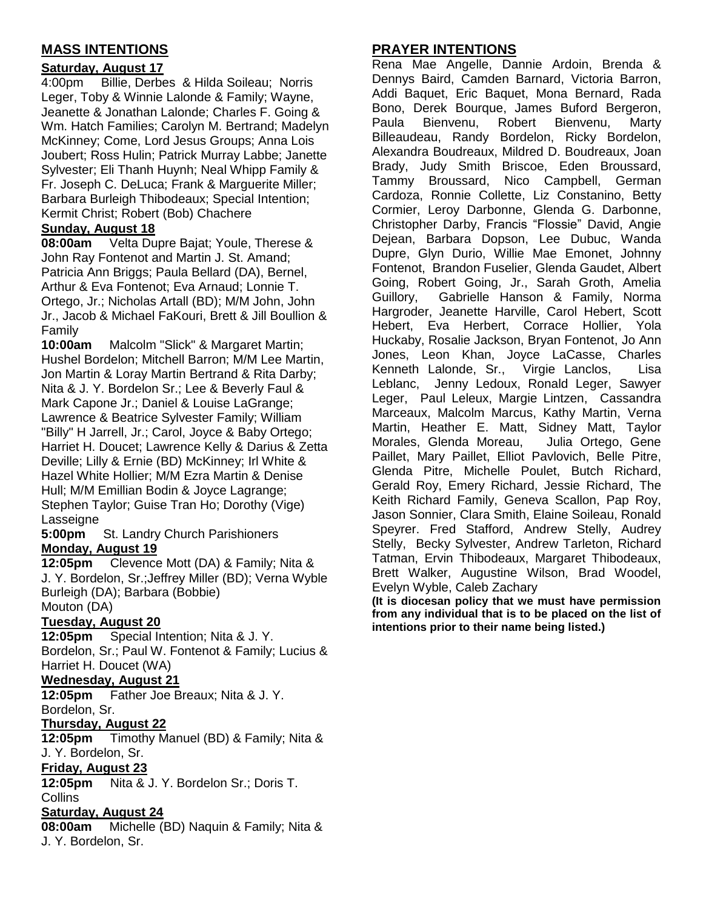# **MASS INTENTIONS**

#### **Saturday, August 17**

4:00pm Billie, Derbes & Hilda Soileau; Norris Leger, Toby & Winnie Lalonde & Family; Wayne, Jeanette & Jonathan Lalonde; Charles F. Going & Wm. Hatch Families; Carolyn M. Bertrand; Madelyn McKinney; Come, Lord Jesus Groups; Anna Lois Joubert; Ross Hulin; Patrick Murray Labbe; Janette Sylvester; Eli Thanh Huynh; Neal Whipp Family & Fr. Joseph C. DeLuca; Frank & Marguerite Miller; Barbara Burleigh Thibodeaux; Special Intention; Kermit Christ; Robert (Bob) Chachere

#### **Sunday, August 18**

**08:00am** Velta Dupre Bajat; Youle, Therese & John Ray Fontenot and Martin J. St. Amand; Patricia Ann Briggs; Paula Bellard (DA), Bernel, Arthur & Eva Fontenot; Eva Arnaud; Lonnie T. Ortego, Jr.; Nicholas Artall (BD); M/M John, John Jr., Jacob & Michael FaKouri, Brett & Jill Boullion & Family

**10:00am** Malcolm "Slick" & Margaret Martin; Hushel Bordelon; Mitchell Barron; M/M Lee Martin, Jon Martin & Loray Martin Bertrand & Rita Darby; Nita & J. Y. Bordelon Sr.; Lee & Beverly Faul & Mark Capone Jr.; Daniel & Louise LaGrange; Lawrence & Beatrice Sylvester Family; William "Billy" H Jarrell, Jr.; Carol, Joyce & Baby Ortego; Harriet H. Doucet; Lawrence Kelly & Darius & Zetta Deville; Lilly & Ernie (BD) McKinney; Irl White & Hazel White Hollier; M/M Ezra Martin & Denise Hull; M/M Emillian Bodin & Joyce Lagrange; Stephen Taylor; Guise Tran Ho; Dorothy (Vige) Lasseigne

**5:00pm** St. Landry Church Parishioners **Monday, August 19**

**12:05pm** Clevence Mott (DA) & Family; Nita & J. Y. Bordelon, Sr.;Jeffrey Miller (BD); Verna Wyble Burleigh (DA); Barbara (Bobbie) Mouton (DA)

### **Tuesday, August 20**

**12:05pm** Special Intention; Nita & J. Y. Bordelon, Sr.; Paul W. Fontenot & Family; Lucius & Harriet H. Doucet (WA)

#### **Wednesday, August 21**

**12:05pm** Father Joe Breaux; Nita & J. Y. Bordelon, Sr.

#### **Thursday, August 22**

**12:05pm** Timothy Manuel (BD) & Family; Nita & J. Y. Bordelon, Sr.

#### **Friday, August 23**

**12:05pm** Nita & J. Y. Bordelon Sr.; Doris T. Collins

#### **Saturday, August 24**

**08:00am** Michelle (BD) Naquin & Family; Nita & J. Y. Bordelon, Sr.

## **PRAYER INTENTIONS**

Rena Mae Angelle, Dannie Ardoin, Brenda & Dennys Baird, Camden Barnard, Victoria Barron, Addi Baquet, Eric Baquet, Mona Bernard, Rada Bono, Derek Bourque, James Buford Bergeron, Paula Bienvenu, Robert Bienvenu, Marty Billeaudeau, Randy Bordelon, Ricky Bordelon, Alexandra Boudreaux, Mildred D. Boudreaux, Joan Brady, Judy Smith Briscoe, Eden Broussard, Tammy Broussard, Nico Campbell, German Cardoza, Ronnie Collette, Liz Constanino, Betty Cormier, Leroy Darbonne, Glenda G. Darbonne, Christopher Darby, Francis "Flossie" David, Angie Dejean, Barbara Dopson, Lee Dubuc, Wanda Dupre, Glyn Durio, Willie Mae Emonet, Johnny Fontenot, Brandon Fuselier, Glenda Gaudet, Albert Going, Robert Going, Jr., Sarah Groth, Amelia Guillory, Gabrielle Hanson & Family, Norma Hargroder, Jeanette Harville, Carol Hebert, Scott Hebert, Eva Herbert, Corrace Hollier, Yola Huckaby, Rosalie Jackson, Bryan Fontenot, Jo Ann Jones, Leon Khan, Joyce LaCasse, Charles Kenneth Lalonde, Sr., Virgie Lanclos, Lisa Leblanc, Jenny Ledoux, Ronald Leger, Sawyer Leger, Paul Leleux, Margie Lintzen, Cassandra Marceaux, Malcolm Marcus, Kathy Martin, Verna Martin, Heather E. Matt, Sidney Matt, Taylor Morales, Glenda Moreau, Julia Ortego, Gene Paillet, Mary Paillet, Elliot Pavlovich, Belle Pitre, Glenda Pitre, Michelle Poulet, Butch Richard, Gerald Roy, Emery Richard, Jessie Richard, The Keith Richard Family, Geneva Scallon, Pap Roy, Jason Sonnier, Clara Smith, Elaine Soileau, Ronald Speyrer. Fred Stafford, Andrew Stelly, Audrey Stelly, Becky Sylvester, Andrew Tarleton, Richard Tatman, Ervin Thibodeaux, Margaret Thibodeaux, Brett Walker, Augustine Wilson, Brad Woodel, Evelyn Wyble, Caleb Zachary

**(It is diocesan policy that we must have permission from any individual that is to be placed on the list of intentions prior to their name being listed.)**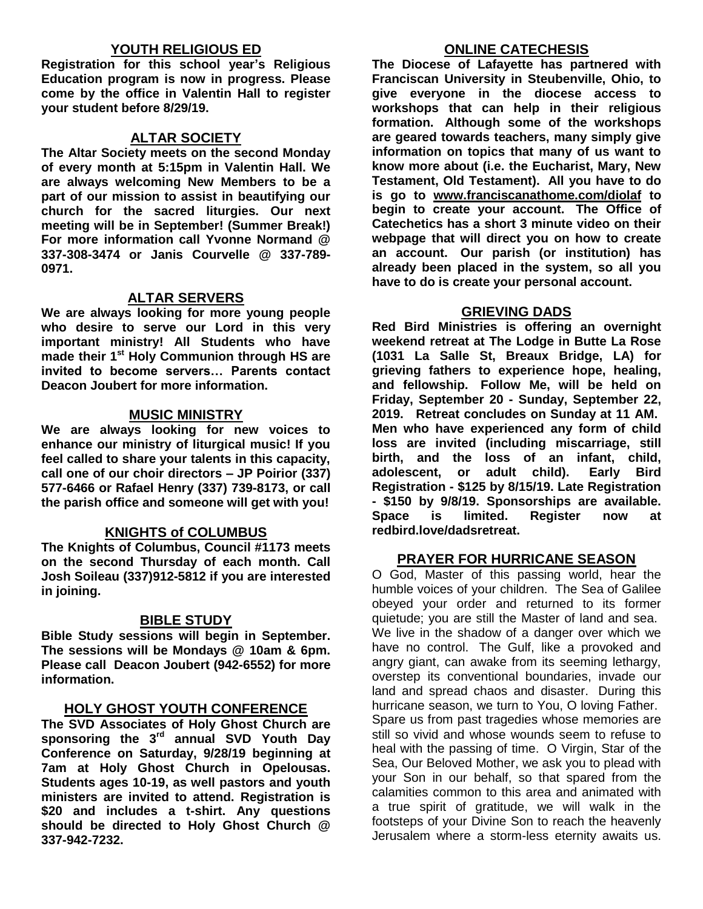## **YOUTH RELIGIOUS ED**

**Registration for this school year's Religious Education program is now in progress. Please come by the office in Valentin Hall to register your student before 8/29/19.**

#### **ALTAR SOCIETY**

**The Altar Society meets on the second Monday of every month at 5:15pm in Valentin Hall. We are always welcoming New Members to be a part of our mission to assist in beautifying our church for the sacred liturgies. Our next meeting will be in September! (Summer Break!) For more information call Yvonne Normand @ 337-308-3474 or Janis Courvelle @ 337-789- 0971.** 

#### **ALTAR SERVERS**

**We are always looking for more young people who desire to serve our Lord in this very important ministry! All Students who have made their 1st Holy Communion through HS are invited to become servers… Parents contact Deacon Joubert for more information.**

#### **MUSIC MINISTRY**

**We are always looking for new voices to enhance our ministry of liturgical music! If you feel called to share your talents in this capacity, call one of our choir directors – JP Poirior (337) 577-6466 or Rafael Henry (337) 739-8173, or call the parish office and someone will get with you!**

#### **KNIGHTS of COLUMBUS**

**The Knights of Columbus, Council #1173 meets on the second Thursday of each month. Call Josh Soileau (337)912-5812 if you are interested in joining.** 

#### **BIBLE STUDY**

**Bible Study sessions will begin in September. The sessions will be Mondays @ 10am & 6pm. Please call Deacon Joubert (942-6552) for more information.**

#### **HOLY GHOST YOUTH CONFERENCE**

**The SVD Associates of Holy Ghost Church are sponsoring the 3rd annual SVD Youth Day Conference on Saturday, 9/28/19 beginning at 7am at Holy Ghost Church in Opelousas. Students ages 10-19, as well pastors and youth ministers are invited to attend. Registration is \$20 and includes a t-shirt. Any questions should be directed to Holy Ghost Church @ 337-942-7232.**

#### **ONLINE CATECHESIS**

**The Diocese of Lafayette has partnered with Franciscan University in Steubenville, Ohio, to give everyone in the diocese access to workshops that can help in their religious formation. Although some of the workshops are geared towards teachers, many simply give information on topics that many of us want to know more about (i.e. the Eucharist, Mary, New Testament, Old Testament). All you have to do is go to [www.franciscanathome.com/diolaf](http://www.franciscanathome.com/diolaf) to begin to create your account. The Office of Catechetics has a short 3 minute video on their webpage that will direct you on how to create an account. Our parish (or institution) has already been placed in the system, so all you have to do is create your personal account.**

#### **GRIEVING DADS**

**Red Bird Ministries is offering an overnight weekend retreat at The Lodge in Butte La Rose (1031 La Salle St, Breaux Bridge, LA) for grieving fathers to experience hope, healing, and fellowship. Follow Me, will be held on Friday, September 20 - Sunday, September 22, 2019. Retreat concludes on Sunday at 11 AM. Men who have experienced any form of child loss are invited (including miscarriage, still birth, and the loss of an infant, child, adolescent, or adult child). Early Bird Registration - \$125 by 8/15/19. Late Registration - \$150 by 9/8/19. Sponsorships are available. Space is limited. Register now at redbird.love/dadsretreat.**

#### **PRAYER FOR HURRICANE SEASON**

O God, Master of this passing world, hear the humble voices of your children. The Sea of Galilee obeyed your order and returned to its former quietude; you are still the Master of land and sea. We live in the shadow of a danger over which we have no control. The Gulf, like a provoked and angry giant, can awake from its seeming lethargy, overstep its conventional boundaries, invade our land and spread chaos and disaster. During this hurricane season, we turn to You, O loving Father. Spare us from past tragedies whose memories are still so vivid and whose wounds seem to refuse to heal with the passing of time. O Virgin, Star of the Sea, Our Beloved Mother, we ask you to plead with your Son in our behalf, so that spared from the calamities common to this area and animated with a true spirit of gratitude, we will walk in the footsteps of your Divine Son to reach the heavenly Jerusalem where a storm-less eternity awaits us.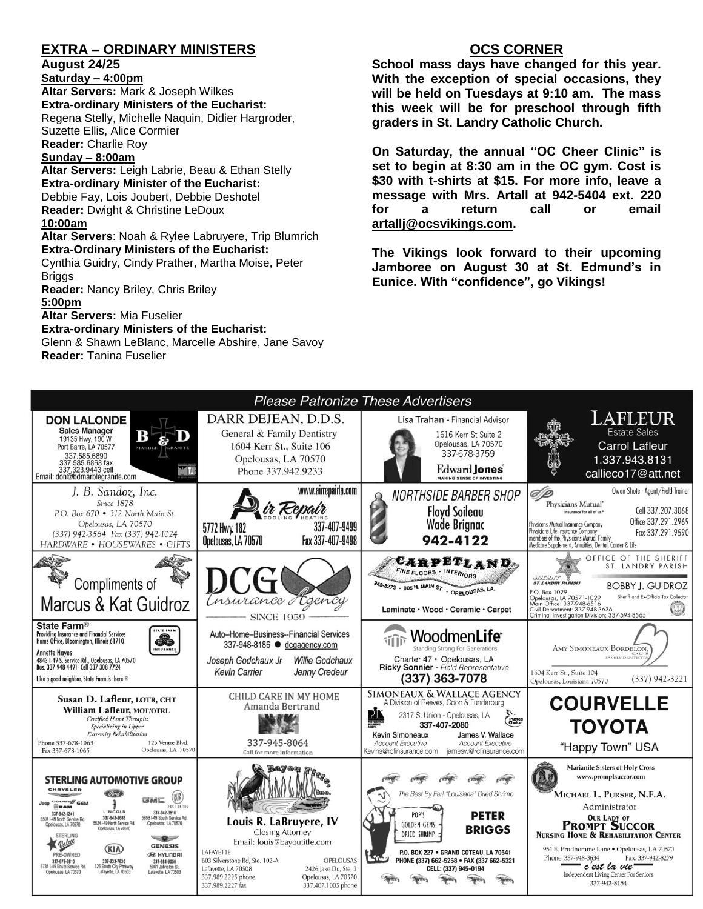# **EXTRA – ORDINARY MINISTERS**

#### **August 24/25**

**Saturday – 4:00pm** 

**Altar Servers:** Mark & Joseph Wilkes **Extra-ordinary Ministers of the Eucharist:**  Regena Stelly, Michelle Naquin, Didier Hargroder, Suzette Ellis, Alice Cormier

**Reader:** Charlie Roy

# **Sunday – 8:00am**

**Altar Servers:** Leigh Labrie, Beau & Ethan Stelly **Extra-ordinary Minister of the Eucharist:** Debbie Fay, Lois Joubert, Debbie Deshotel **Reader:** Dwight & Christine LeDoux **10:00am**

**Altar Servers**: Noah & Rylee Labruyere, Trip Blumrich **Extra-Ordinary Ministers of the Eucharist:**

Cynthia Guidry, Cindy Prather, Martha Moise, Peter Briggs

**Reader:** Nancy Briley, Chris Briley **5:00pm** 

**Altar Servers:** Mia Fuselier

**Extra-ordinary Ministers of the Eucharist:**

Glenn & Shawn LeBlanc, Marcelle Abshire, Jane Savoy **Reader:** Tanina Fuselier

## **OCS CORNER**

**School mass days have changed for this year. With the exception of special occasions, they will be held on Tuesdays at 9:10 am. The mass this week will be for preschool through fifth graders in St. Landry Catholic Church.** 

**On Saturday, the annual "OC Cheer Clinic" is set to begin at 8:30 am in the OC gym. Cost is \$30 with t-shirts at \$15. For more info, leave a message with Mrs. Artall at 942-5404 ext. 220 for a return call or email [artallj@ocsvikings.com.](mailto:artallj@ocsvikings.com)** 

**The Vikings look forward to their upcoming Jamboree on August 30 at St. Edmund's in Eunice. With "confidence", go Vikings!**